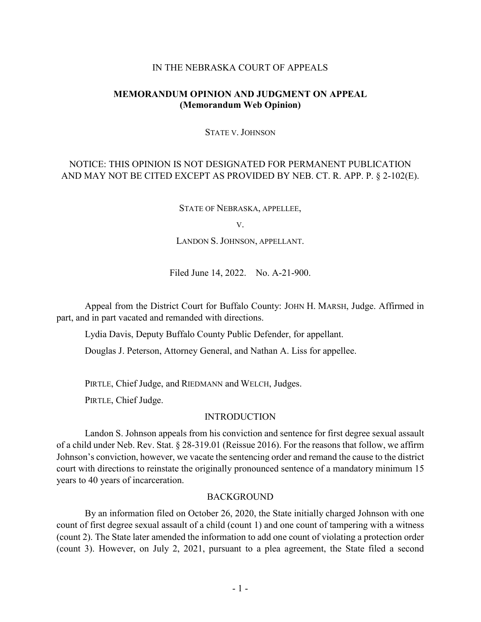### IN THE NEBRASKA COURT OF APPEALS

# **MEMORANDUM OPINION AND JUDGMENT ON APPEAL (Memorandum Web Opinion)**

#### STATE V. JOHNSON

# NOTICE: THIS OPINION IS NOT DESIGNATED FOR PERMANENT PUBLICATION AND MAY NOT BE CITED EXCEPT AS PROVIDED BY NEB. CT. R. APP. P. § 2-102(E).

STATE OF NEBRASKA, APPELLEE,

V.

LANDON S. JOHNSON, APPELLANT.

Filed June 14, 2022. No. A-21-900.

Appeal from the District Court for Buffalo County: JOHN H. MARSH, Judge. Affirmed in part, and in part vacated and remanded with directions.

Lydia Davis, Deputy Buffalo County Public Defender, for appellant.

Douglas J. Peterson, Attorney General, and Nathan A. Liss for appellee.

PIRTLE, Chief Judge, and RIEDMANN and WELCH, Judges.

PIRTLE, Chief Judge.

### INTRODUCTION

Landon S. Johnson appeals from his conviction and sentence for first degree sexual assault of a child under Neb. Rev. Stat. § 28-319.01 (Reissue 2016). For the reasons that follow, we affirm Johnson's conviction, however, we vacate the sentencing order and remand the cause to the district court with directions to reinstate the originally pronounced sentence of a mandatory minimum 15 years to 40 years of incarceration.

### BACKGROUND

By an information filed on October 26, 2020, the State initially charged Johnson with one count of first degree sexual assault of a child (count 1) and one count of tampering with a witness (count 2). The State later amended the information to add one count of violating a protection order (count 3). However, on July 2, 2021, pursuant to a plea agreement, the State filed a second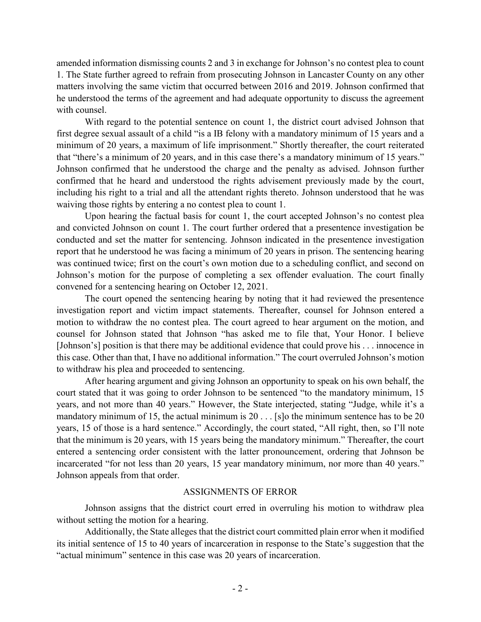amended information dismissing counts 2 and 3 in exchange for Johnson's no contest plea to count 1. The State further agreed to refrain from prosecuting Johnson in Lancaster County on any other matters involving the same victim that occurred between 2016 and 2019. Johnson confirmed that he understood the terms of the agreement and had adequate opportunity to discuss the agreement with counsel.

With regard to the potential sentence on count 1, the district court advised Johnson that first degree sexual assault of a child "is a IB felony with a mandatory minimum of 15 years and a minimum of 20 years, a maximum of life imprisonment." Shortly thereafter, the court reiterated that "there's a minimum of 20 years, and in this case there's a mandatory minimum of 15 years." Johnson confirmed that he understood the charge and the penalty as advised. Johnson further confirmed that he heard and understood the rights advisement previously made by the court, including his right to a trial and all the attendant rights thereto. Johnson understood that he was waiving those rights by entering a no contest plea to count 1.

Upon hearing the factual basis for count 1, the court accepted Johnson's no contest plea and convicted Johnson on count 1. The court further ordered that a presentence investigation be conducted and set the matter for sentencing. Johnson indicated in the presentence investigation report that he understood he was facing a minimum of 20 years in prison. The sentencing hearing was continued twice; first on the court's own motion due to a scheduling conflict, and second on Johnson's motion for the purpose of completing a sex offender evaluation. The court finally convened for a sentencing hearing on October 12, 2021.

The court opened the sentencing hearing by noting that it had reviewed the presentence investigation report and victim impact statements. Thereafter, counsel for Johnson entered a motion to withdraw the no contest plea. The court agreed to hear argument on the motion, and counsel for Johnson stated that Johnson "has asked me to file that, Your Honor. I believe [Johnson's] position is that there may be additional evidence that could prove his . . . innocence in this case. Other than that, I have no additional information." The court overruled Johnson's motion to withdraw his plea and proceeded to sentencing.

After hearing argument and giving Johnson an opportunity to speak on his own behalf, the court stated that it was going to order Johnson to be sentenced "to the mandatory minimum, 15 years, and not more than 40 years." However, the State interjected, stating "Judge, while it's a mandatory minimum of 15, the actual minimum is  $20...$  [s]o the minimum sentence has to be  $20$ years, 15 of those is a hard sentence." Accordingly, the court stated, "All right, then, so I'll note that the minimum is 20 years, with 15 years being the mandatory minimum." Thereafter, the court entered a sentencing order consistent with the latter pronouncement, ordering that Johnson be incarcerated "for not less than 20 years, 15 year mandatory minimum, nor more than 40 years." Johnson appeals from that order.

# ASSIGNMENTS OF ERROR

Johnson assigns that the district court erred in overruling his motion to withdraw plea without setting the motion for a hearing.

Additionally, the State alleges that the district court committed plain error when it modified its initial sentence of 15 to 40 years of incarceration in response to the State's suggestion that the "actual minimum" sentence in this case was 20 years of incarceration.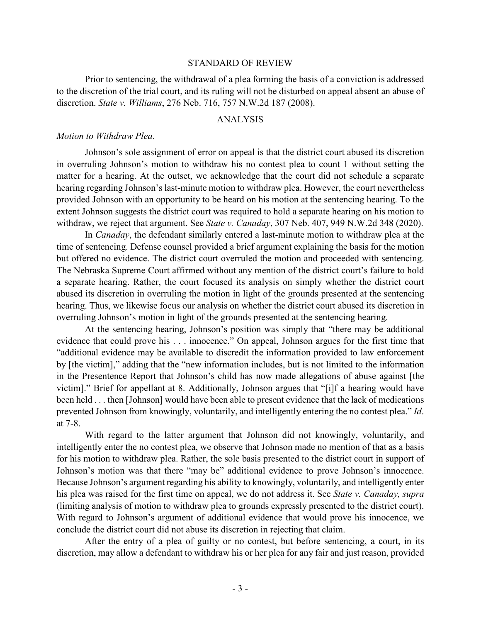#### STANDARD OF REVIEW

Prior to sentencing, the withdrawal of a plea forming the basis of a conviction is addressed to the discretion of the trial court, and its ruling will not be disturbed on appeal absent an abuse of discretion. *State v. Williams*, 276 Neb. 716, 757 N.W.2d 187 (2008).

### ANALYSIS

#### *Motion to Withdraw Plea*.

Johnson's sole assignment of error on appeal is that the district court abused its discretion in overruling Johnson's motion to withdraw his no contest plea to count 1 without setting the matter for a hearing. At the outset, we acknowledge that the court did not schedule a separate hearing regarding Johnson's last-minute motion to withdraw plea. However, the court nevertheless provided Johnson with an opportunity to be heard on his motion at the sentencing hearing. To the extent Johnson suggests the district court was required to hold a separate hearing on his motion to withdraw, we reject that argument. See *State v. Canaday*, 307 Neb. 407, 949 N.W.2d 348 (2020).

In *Canaday*, the defendant similarly entered a last-minute motion to withdraw plea at the time of sentencing. Defense counsel provided a brief argument explaining the basis for the motion but offered no evidence. The district court overruled the motion and proceeded with sentencing. The Nebraska Supreme Court affirmed without any mention of the district court's failure to hold a separate hearing. Rather, the court focused its analysis on simply whether the district court abused its discretion in overruling the motion in light of the grounds presented at the sentencing hearing. Thus, we likewise focus our analysis on whether the district court abused its discretion in overruling Johnson's motion in light of the grounds presented at the sentencing hearing.

At the sentencing hearing, Johnson's position was simply that "there may be additional evidence that could prove his . . . innocence." On appeal, Johnson argues for the first time that "additional evidence may be available to discredit the information provided to law enforcement by [the victim]," adding that the "new information includes, but is not limited to the information in the Presentence Report that Johnson's child has now made allegations of abuse against [the victim]." Brief for appellant at 8. Additionally, Johnson argues that "[i]f a hearing would have been held . . . then [Johnson] would have been able to present evidence that the lack of medications prevented Johnson from knowingly, voluntarily, and intelligently entering the no contest plea." *Id*. at 7-8.

With regard to the latter argument that Johnson did not knowingly, voluntarily, and intelligently enter the no contest plea, we observe that Johnson made no mention of that as a basis for his motion to withdraw plea. Rather, the sole basis presented to the district court in support of Johnson's motion was that there "may be" additional evidence to prove Johnson's innocence. Because Johnson's argument regarding his ability to knowingly, voluntarily, and intelligently enter his plea was raised for the first time on appeal, we do not address it. See *State v. Canaday, supra* (limiting analysis of motion to withdraw plea to grounds expressly presented to the district court). With regard to Johnson's argument of additional evidence that would prove his innocence, we conclude the district court did not abuse its discretion in rejecting that claim.

After the entry of a plea of guilty or no contest, but before sentencing, a court, in its discretion, may allow a defendant to withdraw his or her plea for any fair and just reason, provided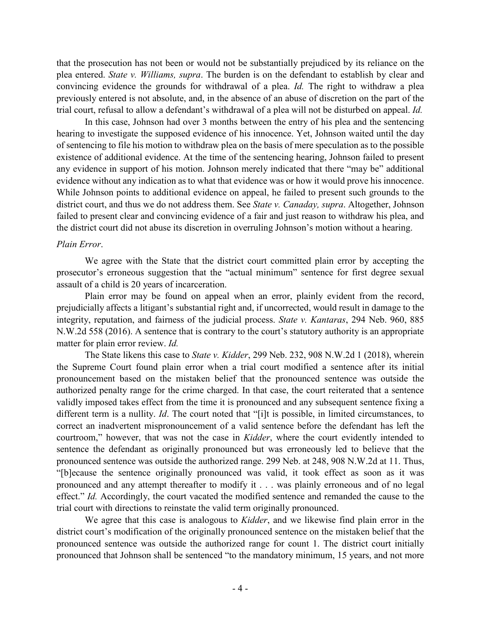that the prosecution has not been or would not be substantially prejudiced by its reliance on the plea entered. *State v. Williams, supra*. The burden is on the defendant to establish by clear and convincing evidence the grounds for withdrawal of a plea. *Id.* The right to withdraw a plea previously entered is not absolute, and, in the absence of an abuse of discretion on the part of the trial court, refusal to allow a defendant's withdrawal of a plea will not be disturbed on appeal. *Id.*

In this case, Johnson had over 3 months between the entry of his plea and the sentencing hearing to investigate the supposed evidence of his innocence. Yet, Johnson waited until the day of sentencing to file his motion to withdraw plea on the basis of mere speculation as to the possible existence of additional evidence. At the time of the sentencing hearing, Johnson failed to present any evidence in support of his motion. Johnson merely indicated that there "may be" additional evidence without any indication as to what that evidence was or how it would prove his innocence. While Johnson points to additional evidence on appeal, he failed to present such grounds to the district court, and thus we do not address them. See *State v. Canaday, supra*. Altogether, Johnson failed to present clear and convincing evidence of a fair and just reason to withdraw his plea, and the district court did not abuse its discretion in overruling Johnson's motion without a hearing.

# *Plain Error*.

We agree with the State that the district court committed plain error by accepting the prosecutor's erroneous suggestion that the "actual minimum" sentence for first degree sexual assault of a child is 20 years of incarceration.

Plain error may be found on appeal when an error, plainly evident from the record, prejudicially affects a litigant's substantial right and, if uncorrected, would result in damage to the integrity, reputation, and fairness of the judicial process. *State v. Kantaras*, 294 Neb. 960, 885 N.W.2d 558 (2016). A sentence that is contrary to the court's statutory authority is an appropriate matter for plain error review. *Id.*

The State likens this case to *State v. Kidder*, 299 Neb. 232, 908 N.W.2d 1 (2018), wherein the Supreme Court found plain error when a trial court modified a sentence after its initial pronouncement based on the mistaken belief that the pronounced sentence was outside the authorized penalty range for the crime charged. In that case, the court reiterated that a sentence validly imposed takes effect from the time it is pronounced and any subsequent sentence fixing a different term is a nullity. *Id*. The court noted that "[i]t is possible, in limited circumstances, to correct an inadvertent mispronouncement of a valid sentence before the defendant has left the courtroom," however, that was not the case in *Kidder*, where the court evidently intended to sentence the defendant as originally pronounced but was erroneously led to believe that the pronounced sentence was outside the authorized range. 299 Neb. at 248, 908 N.W.2d at 11. Thus, "[b]ecause the sentence originally pronounced was valid, it took effect as soon as it was pronounced and any attempt thereafter to modify it . . . was plainly erroneous and of no legal effect." *Id.* Accordingly, the court vacated the modified sentence and remanded the cause to the trial court with directions to reinstate the valid term originally pronounced.

We agree that this case is analogous to *Kidder*, and we likewise find plain error in the district court's modification of the originally pronounced sentence on the mistaken belief that the pronounced sentence was outside the authorized range for count 1. The district court initially pronounced that Johnson shall be sentenced "to the mandatory minimum, 15 years, and not more